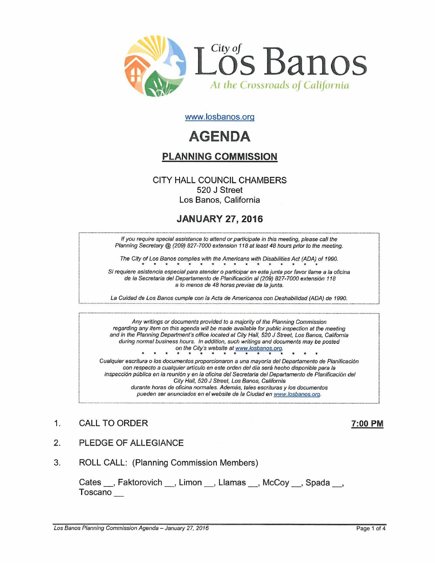

www.losbanos.org

# **AGENDA**

# PLANNING COMMISSION

## CITY HALL COUNCIL CHAMBERS 520 J Street Los Banos, California

# JANUARY 27,2016

If you require special assistance to attend or participate in this meeting, please call the Planning Secretary @ (209) 827-7000 extension 118 at least 48 hours prior to the meeting.

The City of Los Banos complies with the Americans with Disabilities Act (ADA) of 1990.

The City of Los Banos complies with the Americans with Disabilities Act (ADA) of 1990.<br>Si requiere asistencia especial para atender o participar en esta junta por favor llame a la oficina de la Secretaria del Departamento de Planificación al (209) 827-7000 extensión 118 a lo menos de 48 horas previas de la junta.

La Cuidad de Los Banos cumple con la Acta de Americanos con Deshabilidad (ADA) de 1990.

Any writings or documents provided to a majority of the Planning Commission regarding any item on this agenda will be made available for public inspection at the meeting and in the Planning Department's office located at City Hall, 520 J Street, Los Banos, California during normal business hours. In addition, such writings and documents may be posted<br>
on the City's website at www.losbanos.org.<br>
er escritura o los documentos proporcionaron a una mayoría del Departamento de Plani on the City's website at www.losbanos.orq.

Cualquier escritura 0 los documentos proporcionaron a una mayoria del Departamento de Planificacion con respecto a cualquier articulo en este orden del dia sera hecho disponible para la inspecci6n publica en la reunion y en la oficina del Secretaria del Departamento de Planificacion del City Hall, 520 J Street, Los Banos, California durante horas de oficina normales. Además, tales escrituras y los documentos pueden ser anunciados en el website de la Ciudad en www.losbanos.org.

# 1. CALL TO ORDER 7:00 PM

- 2. PLEDGE OF ALLEGIANCE
- 3. ROLL CALL: (Planning Commission Members)

Cates \_\_, Faktorovich \_\_, Limon \_\_, Llamas \_\_, McCoy \_\_, Spada \_\_, Toscano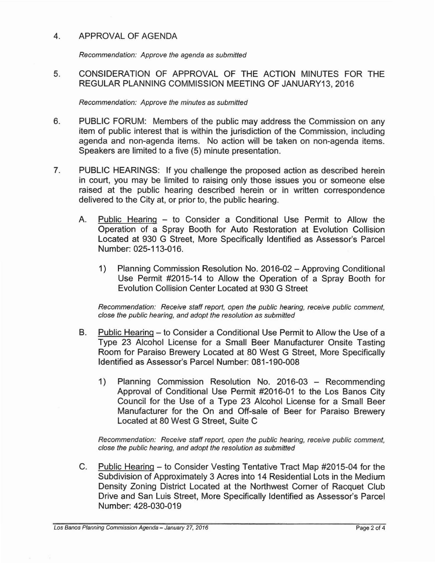## 4. APPROVAL OF AGENDA

Recommendation: Approve the agenda as submitted

5. CONSIDERATION OF APPROVAL OF THE ACTION MINUTES FOR THE REGULAR PLANNING COMMISSION MEETING OF JANUARY13, 2016

Recommendation: Approve the minutes as submitted

- 6. PUBLIC FORUM: Members of the public may address the Commission on any item of public interest that is within the jurisdiction of the Commission, including agenda and non-agenda items. No action will be taken on non-agenda items. Speakers are limited to a five (5) minute presentation.
- 7. PUBLIC HEARINGS: If you challenge the proposed action as described herein in court, you may be limited to raising only those issues you or someone else raised at the public hearing described herein or in written correspondence delivered to the City at, or prior to, the public hearing.
	- A. Public Hearing to Consider a Conditional Use Permit to Allow the Operation of a Spray Booth for Auto Restoration at Evolution Collision Located at 930 G Street, More Specifically Identified as Assessor's Parcel Number: 025-113-016.
		- 1) Planning Commission Resolution No. 2016-02 Approving Conditional Use Permit #2015-14 to Allow the Operation of a Spray Booth for Evolution Collision Center Located at 930 G Street

Recommendation: Receive staff report, open the public hearing, receive public comment, close the public hearing, and adopt the resolution as submitted

- B. Public Hearing to Consider a Conditional Use Permit to Allow the Use of a Type 23 Alcohol License for a Small Beer Manufacturer Onsite Tasting Room for Paraiso Brewery Located at 80 West G Street, More Specifically Identified as Assessor's Parcel Number: 081-190-008
	- 1) Planning Commission Resolution No. 2016-03 Recommending Approval of Conditional Use Permit #2016-01 to the Los Banos City Council for the Use of a Type 23 Alcohol License for a Small Beer Manufacturer for the On and Off-sale of Beer for Paraiso Brewery Located at 80 West G Street, Suite C

Recommendation: Receive staff report, open the public hearing, receive public comment, close the public hearing, and adopt the resolution as submitted

C. Public Hearing - to Consider Vesting Tentative Tract Map #2015-04 for the Subdivision of Approximately 3 Acres into 14 Residential Lots in the Medium Density Zoning District Located at the Northwest Corner of Racquet Club Drive and San Luis Street, More Specifically Identified as Assessor's Parcel Number: 428-030-019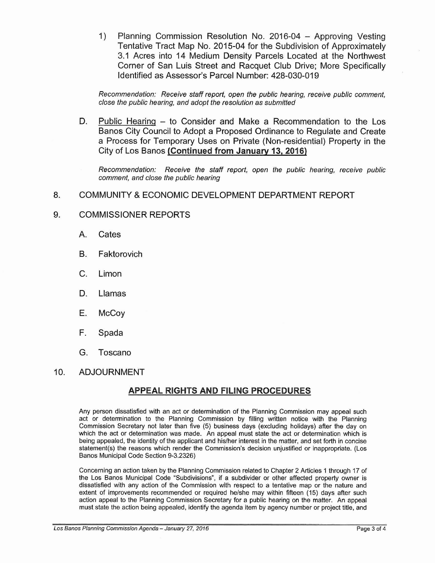1) Planning Commission Resolution No. 2016-04 - Approving Vesting Tentative Tract Map No. 2015-04 for the Subdivision of Approximately 3.1 Acres into 14 Medium Density Parcels Located at the Northwest Corner of San Luis Street and Racquet Club Drive; More Specifically Identified as Assessor's Parcel Number: 428-030-019

Recommendation: Receive staff report, open the public hearing, receive public comment, close the public hearing, and adopt the resolution as submitted

D. Public Hearing – to Consider and Make a Recommendation to the Los Banos City Council to Adopt a Proposed Ordinance to Regulate and Create a Process for Temporary Uses on Private (Non-residential) Property in the City of Los Banos **(Continued from January** 13, **2016)**

Recommendation: Receive the staff report, open the public hearing, receive public comment, and close the public hearing

8. COMMUNITY &ECONOMIC DEVELOPMENT DEPARTMENT REPORT

## 9. COMMISSIONER REPORTS

- A. Cates
- B. Faktorovich
- C. Limon
- D. Llamas
- E. McCoy
- F. Spada
- G. Toscano

## 10. ADJOURNMENT

## **APPEAL RIGHTS AND FILING PROCEDURES**

Any person dissatisfied with an act or determination of the Pianning Commission may appeal such act or detennination to the Planning Commission by filling written notice with the Planning Commission Secretary not later than five (5) business days (excluding holidays) after the day on which the act or determination was made. An appeal must state the act or determination which is being appealed, the identity of the appiicant and his/her interest in the matter, and set forth in concise statement(s) the reasons which render the Commission's decision unjustified or inappropriate. (Los Banos Municipal Code Section 9-3.2326)

Concerning an action taken by the Planning Commission related to Chapter 2 Articles 1 through 17 of the Los Banos Municipal Code "Subdivisions", if a subdivider or other affected property owner is dissatisfied with any action of the Commission with respect to a tentative map or the nature and extent of improvements recommended or required he/she may within fifteen (15) days after such action appeal to the Planning Commission Secretary for a public hearing on the matter. An appeal must state the action being appealed, identify the agenda item by agency number or project title, and